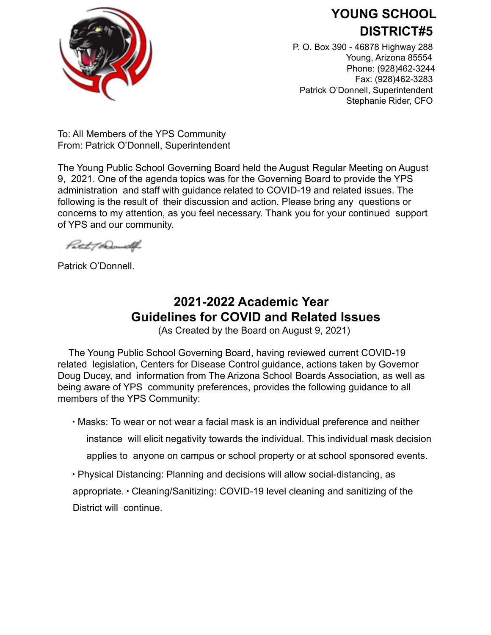

## **YOUNG SCHOOL DISTRICT#5**

P. O. Box 390 - 46878 Highway 288 Young, Arizona 85554 Phone: (928)462-3244 Fax: (928)462-3283 Patrick O'Donnell, Superintendent Stephanie Rider, CFO

To: All Members of the YPS Community From: Patrick O'Donnell, Superintendent

The Young Public School Governing Board held the August Regular Meeting on August 9, 2021. One of the agenda topics was for the Governing Board to provide the YPS administration and staff with guidance related to COVID-19 and related issues. The following is the result of their discussion and action. Please bring any questions or concerns to my attention, as you feel necessary. Thank you for your continued support of YPS and our community.

Patit ToDomelly

Patrick O'Donnell.

## **2021-2022 Academic Year Guidelines for COVID and Related Issues**

(As Created by the Board on August 9, 2021)

The Young Public School Governing Board, having reviewed current COVID-19 related legislation, Centers for Disease Control guidance, actions taken by Governor Doug Ducey, and information from The Arizona School Boards Association, as well as being aware of YPS community preferences, provides the following guidance to all members of the YPS Community:

∙ Masks: To wear or not wear a facial mask is an individual preference and neither

instance will elicit negativity towards the individual. This individual mask decision

applies to anyone on campus or school property or at school sponsored events.

∙ Physical Distancing: Planning and decisions will allow social-distancing, as

appropriate. ∙ Cleaning/Sanitizing: COVID-19 level cleaning and sanitizing of the District will continue.